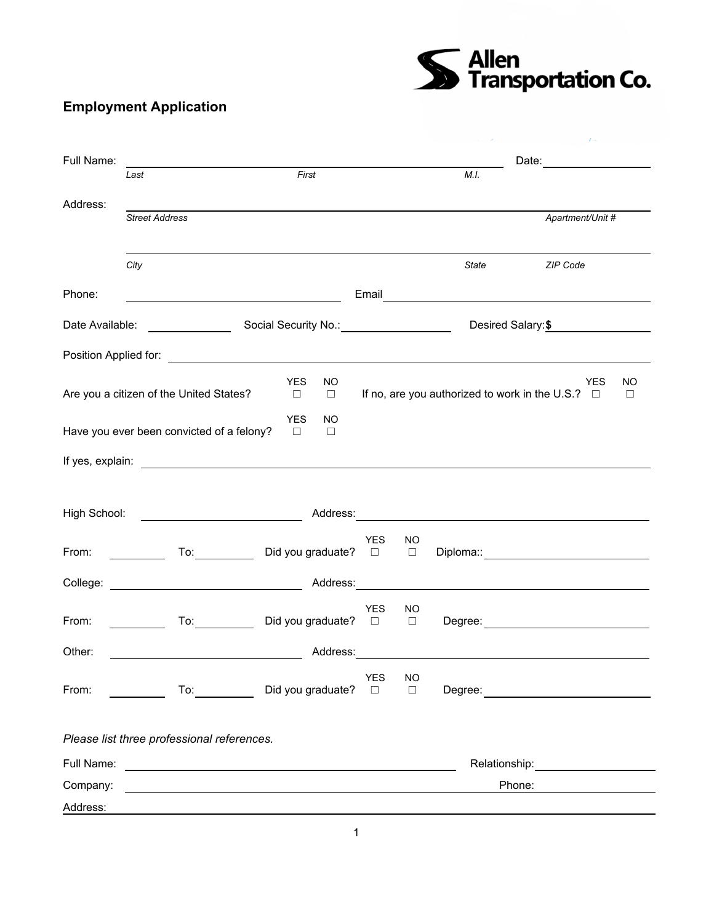S<br>Se Transportation Co.

## **Employment Application**

| Full Name:      |                                                                                                                                                                                                                                |                                                                                                                                                                                                                                |                      |                     | Date: _______________                                                                                                                                                                                                               |
|-----------------|--------------------------------------------------------------------------------------------------------------------------------------------------------------------------------------------------------------------------------|--------------------------------------------------------------------------------------------------------------------------------------------------------------------------------------------------------------------------------|----------------------|---------------------|-------------------------------------------------------------------------------------------------------------------------------------------------------------------------------------------------------------------------------------|
|                 | Last                                                                                                                                                                                                                           | First                                                                                                                                                                                                                          |                      | M.I.                |                                                                                                                                                                                                                                     |
| Address:        | <b>Street Address</b>                                                                                                                                                                                                          |                                                                                                                                                                                                                                |                      |                     | Apartment/Unit #                                                                                                                                                                                                                    |
|                 | City                                                                                                                                                                                                                           |                                                                                                                                                                                                                                |                      | <b>State</b>        | ZIP Code                                                                                                                                                                                                                            |
| Phone:          |                                                                                                                                                                                                                                |                                                                                                                                                                                                                                | Email                |                     | <u> 1989 - Johann Barnett, fransk politiker (d. 1989)</u>                                                                                                                                                                           |
| Date Available: |                                                                                                                                                                                                                                | Social Security No.: \\cdot \\cdot \\cdot \\cdot \\cdot \\cdot \\cdot \\cdot \\cdot \\cdot \\cdot \\cdot \\cdot \\cdot \\cdot \\cdot \\cdot \\cdot \\cdot \\cdot \\cdot \\cdot \\cdot \\cdot \\cdot \\cdot \\cdot \\cdot \\cdo |                      |                     | Desired Salary:\$                                                                                                                                                                                                                   |
|                 |                                                                                                                                                                                                                                |                                                                                                                                                                                                                                |                      |                     |                                                                                                                                                                                                                                     |
|                 | Are you a citizen of the United States?                                                                                                                                                                                        | <b>YES</b><br><b>NO</b><br>$\Box$<br>$\Box$                                                                                                                                                                                    |                      |                     | YES<br>NO<br>If no, are you authorized to work in the U.S.? $\Box$<br>$\Box$                                                                                                                                                        |
|                 | Have you ever been convicted of a felony?                                                                                                                                                                                      | <b>YES</b><br>NO.<br>$\Box$<br>$\Box$                                                                                                                                                                                          |                      |                     |                                                                                                                                                                                                                                     |
|                 |                                                                                                                                                                                                                                |                                                                                                                                                                                                                                |                      |                     |                                                                                                                                                                                                                                     |
|                 | High School: <u>___________________________</u>                                                                                                                                                                                |                                                                                                                                                                                                                                |                      |                     |                                                                                                                                                                                                                                     |
| From:           | To: the contract of the contract of the contract of the contract of the contract of the contract of the contract of the contract of the contract of the contract of the contract of the contract of the contract of the contra | Did you graduate? $\Box$                                                                                                                                                                                                       | <b>YES</b>           | NO<br>$\Box$        |                                                                                                                                                                                                                                     |
|                 |                                                                                                                                                                                                                                |                                                                                                                                                                                                                                |                      |                     | College: <u>New York: Address:</u> Address: Address: Address: Address: Address: Address: Address: Address: Address: Address: Address: Address: Address: Address: Address: Address: Address: Address: Address: Address: Address: Add |
| From:           | To: the contract of the contract of the contract of the contract of the contract of the contract of the contract of the contract of the contract of the contract of the contract of the contract of the contract of the contra | Did you graduate? □                                                                                                                                                                                                            | <b>YES</b>           | NO<br>$\Box$        |                                                                                                                                                                                                                                     |
| Other:          |                                                                                                                                                                                                                                | Address:                                                                                                                                                                                                                       |                      |                     |                                                                                                                                                                                                                                     |
| From:           | To: and the state of the state of the state of the state of the state of the state of the state of the state o                                                                                                                 | Did you graduate?                                                                                                                                                                                                              | <b>YES</b><br>$\Box$ | <b>NO</b><br>$\Box$ |                                                                                                                                                                                                                                     |
|                 | Please list three professional references.                                                                                                                                                                                     |                                                                                                                                                                                                                                |                      |                     |                                                                                                                                                                                                                                     |
| Full Name:      |                                                                                                                                                                                                                                | <u> 1980 - Johann Barn, mars ann an t-Amhain Aonaich an t-Aonaich an t-Aonaich ann an t-Aonaich ann an t-Aonaich</u>                                                                                                           |                      |                     |                                                                                                                                                                                                                                     |
| Company:        |                                                                                                                                                                                                                                |                                                                                                                                                                                                                                |                      |                     | Phone:                                                                                                                                                                                                                              |
| Address:        |                                                                                                                                                                                                                                |                                                                                                                                                                                                                                |                      |                     |                                                                                                                                                                                                                                     |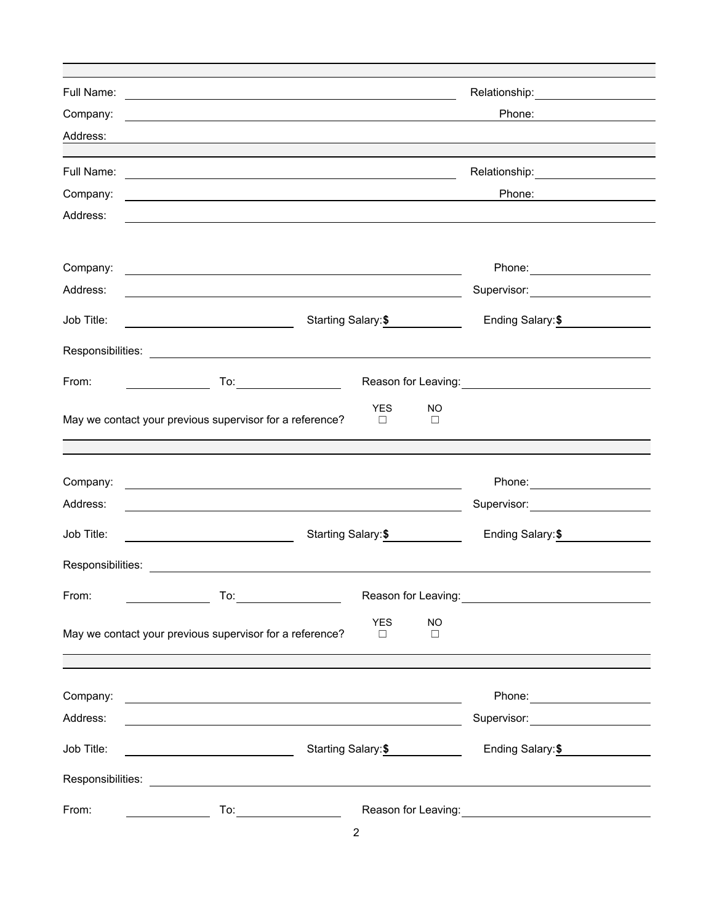| Company:   |                                                                                                                                                                                                                                                                                                                                    |                      |                     | Phone:                                                                                                           |
|------------|------------------------------------------------------------------------------------------------------------------------------------------------------------------------------------------------------------------------------------------------------------------------------------------------------------------------------------|----------------------|---------------------|------------------------------------------------------------------------------------------------------------------|
| Address:   |                                                                                                                                                                                                                                                                                                                                    |                      |                     |                                                                                                                  |
|            |                                                                                                                                                                                                                                                                                                                                    |                      |                     | Relationship: 2000                                                                                               |
| Company:   | <u> 1980 - Andrea Station Barbara, amerikan personal (h. 1980).</u>                                                                                                                                                                                                                                                                |                      |                     | Phone:                                                                                                           |
| Address:   |                                                                                                                                                                                                                                                                                                                                    |                      |                     |                                                                                                                  |
|            |                                                                                                                                                                                                                                                                                                                                    |                      |                     |                                                                                                                  |
| Company:   | <u> 1980 - Johann Stoff, deutscher Stoffen und der Stoffen und der Stoffen und der Stoffen und der Stoffen und de</u>                                                                                                                                                                                                              |                      |                     |                                                                                                                  |
| Address:   |                                                                                                                                                                                                                                                                                                                                    |                      |                     | Supervisor: <u>____________________</u>                                                                          |
| Job Title: |                                                                                                                                                                                                                                                                                                                                    | Starting Salary: \$  |                     | Ending Salary: \$                                                                                                |
|            |                                                                                                                                                                                                                                                                                                                                    |                      |                     |                                                                                                                  |
| From:      | $\overline{a}$ To: $\overline{a}$ To: $\overline{a}$ To: $\overline{a}$ To: $\overline{a}$ To: $\overline{a}$ To: $\overline{a}$ To: $\overline{a}$ To: $\overline{a}$ To: $\overline{a}$ To: $\overline{a}$ To: $\overline{a}$ To: $\overline{a}$ To: $\overline{a}$ To: $\overline{a}$ To: $\overline{a}$ To: $\overline{a}$ To: |                      |                     | Reason for Leaving: <u>contained and all proportional</u>                                                        |
|            | May we contact your previous supervisor for a reference?                                                                                                                                                                                                                                                                           | <b>YES</b><br>$\Box$ | NO.<br>□            |                                                                                                                  |
|            |                                                                                                                                                                                                                                                                                                                                    |                      |                     |                                                                                                                  |
| Company:   |                                                                                                                                                                                                                                                                                                                                    |                      |                     | Phone: <u>_____________________</u>                                                                              |
| Address:   |                                                                                                                                                                                                                                                                                                                                    |                      |                     | Supervisor: _______________________                                                                              |
| Job Title: | <u> 1990 - Johann Barbara, martin a</u>                                                                                                                                                                                                                                                                                            | Starting Salary: \$  |                     | Ending Salary: \$                                                                                                |
|            |                                                                                                                                                                                                                                                                                                                                    |                      |                     |                                                                                                                  |
| From:      |                                                                                                                                                                                                                                                                                                                                    |                      |                     | Reason for Leaving:<br><u> </u>                                                                                  |
|            | May we contact your previous supervisor for a reference?                                                                                                                                                                                                                                                                           | <b>YES</b><br>$\Box$ | <b>NO</b><br>$\Box$ |                                                                                                                  |
|            |                                                                                                                                                                                                                                                                                                                                    |                      |                     |                                                                                                                  |
|            | Company: <u>Company:</u>                                                                                                                                                                                                                                                                                                           |                      |                     |                                                                                                                  |
| Address:   | and the control of the control of the control of the control of the control of the control of the control of the                                                                                                                                                                                                                   |                      |                     | Supervisor: Victor Control of Control Control Control Control Control Control Control Control Control Control Co |
| Job Title: |                                                                                                                                                                                                                                                                                                                                    | Starting Salary: \$  |                     | Ending Salary: \$                                                                                                |
|            |                                                                                                                                                                                                                                                                                                                                    |                      |                     |                                                                                                                  |
| From:      | To: _______________                                                                                                                                                                                                                                                                                                                |                      |                     | Reason for Leaving: 2008                                                                                         |